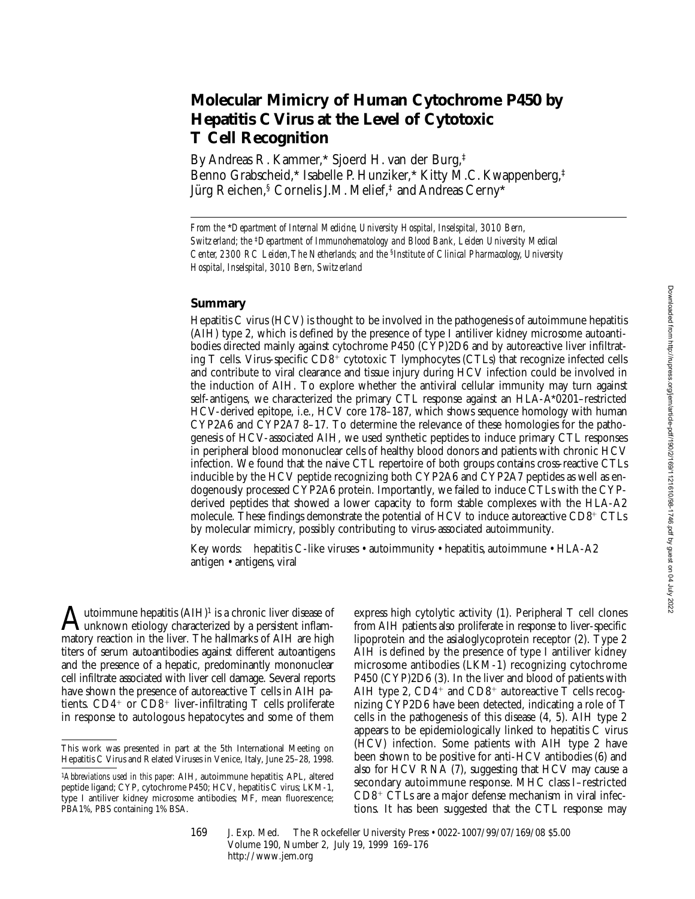# **Molecular Mimicry of Human Cytochrome P450 by Hepatitis C Virus at the Level of Cytotoxic T Cell Recognition**

By Andreas R. Kammer,\* Sjoerd H. van der Burg,‡ Benno Grabscheid,\* Isabelle P. Hunziker,\* Kitty M.C. Kwappenberg,‡ Jürg Reichen,§ Cornelis J.M. Melief,‡ and Andreas Cerny\*

*From the* \**Department of Internal Medicine, University Hospital, Inselspital, 3010 Bern, Switzerland; the* ‡*Department of Immunohematology and Blood Bank, Leiden University Medical Center, 2300 RC Leiden, The Netherlands; and the* §*Institute of Clinical Pharmacology, University Hospital, Inselspital, 3010 Bern, Switzerland*

## **Summary**

Hepatitis C virus (HCV) is thought to be involved in the pathogenesis of autoimmune hepatitis (AIH) type 2, which is defined by the presence of type I antiliver kidney microsome autoantibodies directed mainly against cytochrome P450 (CYP)2D6 and by autoreactive liver infiltrating  $T$  cells. Virus-specific  $CD8^+$  cytotoxic  $T$  lymphocytes (CTLs) that recognize infected cells and contribute to viral clearance and tissue injury during HCV infection could be involved in the induction of AIH. To explore whether the antiviral cellular immunity may turn against self-antigens, we characterized the primary CTL response against an HLA-A\*0201–restricted HCV-derived epitope, i.e., HCV core 178–187, which shows sequence homology with human CYP2A6 and CYP2A7 8–17. To determine the relevance of these homologies for the pathogenesis of HCV-associated AIH, we used synthetic peptides to induce primary CTL responses in peripheral blood mononuclear cells of healthy blood donors and patients with chronic HCV infection. We found that the naive CTL repertoire of both groups contains cross-reactive CTLs inducible by the HCV peptide recognizing both CYP2A6 and CYP2A7 peptides as well as endogenously processed CYP2A6 protein. Importantly, we failed to induce CTLs with the CYPderived peptides that showed a lower capacity to form stable complexes with the HLA-A2 molecule. These findings demonstrate the potential of HCV to induce autoreactive  $CD8^+$  CTLs by molecular mimicry, possibly contributing to virus-associated autoimmunity.

Key words: hepatitis C-like viruses • autoimmunity • hepatitis, autoimmune • HLA-A2 antigen • antigens, viral

 $A$ utoimmune hepatitis  $(AIH)^1$  is a chronic liver disease of unknown etiology characterized by a persistent inflammatory reaction in the liver. The hallmarks of AIH are high titers of serum autoantibodies against different autoantigens and the presence of a hepatic, predominantly mononuclear cell infiltrate associated with liver cell damage. Several reports have shown the presence of autoreactive T cells in AIH patients.  $CD4^+$  or  $CD8^+$  liver-infiltrating T cells proliferate in response to autologous hepatocytes and some of them

express high cytolytic activity (1). Peripheral T cell clones from AIH patients also proliferate in response to liver-specific lipoprotein and the asialoglycoprotein receptor (2). Type 2 AIH is defined by the presence of type I antiliver kidney microsome antibodies (LKM-1) recognizing cytochrome P450 (CYP)2D6 (3). In the liver and blood of patients with AIH type 2,  $CD4^+$  and  $CD8^+$  autoreactive T cells recognizing CYP2D6 have been detected, indicating a role of T cells in the pathogenesis of this disease (4, 5). AIH type 2 appears to be epidemiologically linked to hepatitis C virus (HCV) infection. Some patients with AIH type 2 have been shown to be positive for anti-HCV antibodies (6) and also for HCV RNA (7), suggesting that HCV may cause a secondary autoimmune response. MHC class I–restricted  $CD8<sup>+</sup> CTLs$  are a major defense mechanism in viral infections. It has been suggested that the CTL response may

This work was presented in part at the 5th International Meeting on Hepatitis C Virus and Related Viruses in Venice, Italy, June 25–28, 1998.

<sup>1</sup>*Abbreviations used in this paper:* AIH, autoimmune hepatitis; APL, altered peptide ligand; CYP, cytochrome P450; HCV, hepatitis C virus; LKM-1, type I antiliver kidney microsome antibodies; MF, mean fluorescence; PBA1%, PBS containing 1% BSA.

<sup>169</sup> J. Exp. Med. © The Rockefeller University Press • 0022-1007/99/07/169/08 \$5.00 Volume 190, Number 2, July 19, 1999 169–176 http://www.jem.org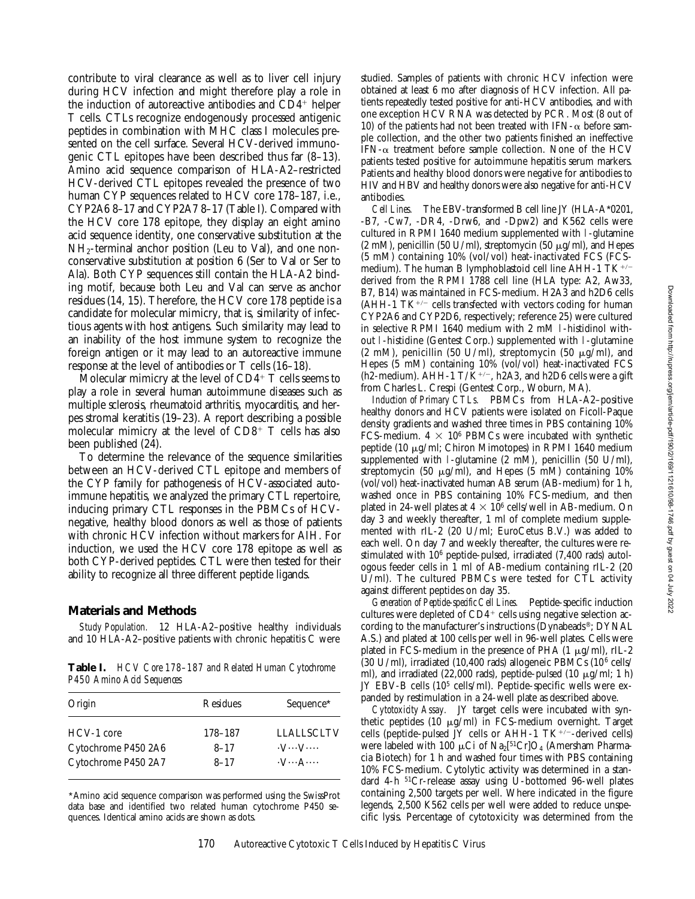contribute to viral clearance as well as to liver cell injury during HCV infection and might therefore play a role in the induction of autoreactive antibodies and  $CD4<sup>+</sup>$  helper T cells. CTLs recognize endogenously processed antigenic peptides in combination with MHC class I molecules presented on the cell surface. Several HCV-derived immunogenic CTL epitopes have been described thus far (8–13). Amino acid sequence comparison of HLA-A2–restricted HCV-derived CTL epitopes revealed the presence of two human CYP sequences related to HCV core 178–187, i.e., CYP2A6 8–17 and CYP2A7 8–17 (Table I). Compared with the HCV core 178 epitope, they display an eight amino acid sequence identity, one conservative substitution at the NH<sub>2</sub>-terminal anchor position (Leu to Val), and one nonconservative substitution at position 6 (Ser to Val or Ser to Ala). Both CYP sequences still contain the HLA-A2 binding motif, because both Leu and Val can serve as anchor residues (14, 15). Therefore, the HCV core 178 peptide is a candidate for molecular mimicry, that is, similarity of infectious agents with host antigens. Such similarity may lead to an inability of the host immune system to recognize the foreign antigen or it may lead to an autoreactive immune response at the level of antibodies or T cells (16–18).

Molecular mimicry at the level of  $CD4^+$  T cells seems to play a role in several human autoimmune diseases such as multiple sclerosis, rheumatoid arthritis, myocarditis, and herpes stromal keratitis (19–23). A report describing a possible molecular mimicry at the level of  $CD8^+$  T cells has also been published (24).

To determine the relevance of the sequence similarities between an HCV-derived CTL epitope and members of the CYP family for pathogenesis of HCV-associated autoimmune hepatitis, we analyzed the primary CTL repertoire, inducing primary CTL responses in the PBMCs of HCVnegative, healthy blood donors as well as those of patients with chronic HCV infection without markers for AIH. For induction, we used the HCV core 178 epitope as well as both CYP-derived peptides. CTL were then tested for their ability to recognize all three different peptide ligands.

## **Materials and Methods**

*Study Population.* 12 HLA-A2–positive healthy individuals and 10 HLA-A2–positive patients with chronic hepatitis C were

**Table I.** *HCV Core 178–187 and Related Human Cytochrome P450 Amino Acid Sequences*

| Origin              | Residues | Sequence <sup>*</sup>         |
|---------------------|----------|-------------------------------|
| HCV-1 core          | 178-187  | <b>LLALLSCLTV</b>             |
| Cytochrome P450 2A6 | $8 - 17$ | $\cdot V \cdots V \cdots$     |
| Cytochrome P450 2A7 | $8 - 17$ | $\cdot$ V $\cdots$ A $\cdots$ |

\*Amino acid sequence comparison was performed using the SwissProt data base and identified two related human cytochrome P450 sequences. Identical amino acids are shown as dots.

studied. Samples of patients with chronic HCV infection were obtained at least 6 mo after diagnosis of HCV infection. All patients repeatedly tested positive for anti-HCV antibodies, and with one exception HCV RNA was detected by PCR. Most (8 out of 10) of the patients had not been treated with IFN- $\alpha$  before sample collection, and the other two patients finished an ineffective IFN- $\alpha$  treatment before sample collection. None of the HCV patients tested positive for autoimmune hepatitis serum markers. Patients and healthy blood donors were negative for antibodies to HIV and HBV and healthy donors were also negative for anti-HCV antibodies.

*Cell Lines.* The EBV-transformed B cell line JY (HLA-A\*0201, -B7, -Cw7, -DR4, -Drw6, and -Dpw2) and K562 cells were cultured in RPMI 1640 medium supplemented with l-glutamine  $(2 \text{ mM})$ , penicillin (50 U/ml), streptomycin (50  $\mu$ g/ml), and Hepes (5 mM) containing 10% (vol/vol) heat-inactivated FCS (FCSmedium). The human B lymphoblastoid cell line AHH-1 TK $+/$ derived from the RPMI 1788 cell line (HLA type: A2, Aw33, B7, B14) was maintained in FCS-medium. H2A3 and h2D6 cells  $(AHH-1 T K^{+/-}$  cells transfected with vectors coding for human CYP2A6 and CYP2D6, respectively; reference 25) were cultured in selective RPMI 1640 medium with 2 mM l-histidinol without l-histidine (Gentest Corp.) supplemented with l-glutamine (2 mM), penicillin (50 U/ml), streptomycin (50  $\mu$ g/ml), and Hepes (5 mM) containing 10% (vol/vol) heat-inactivated FCS (h2-medium). AHH-1 T/ $\check{K}^{+/-}$ , h2A3, and h2D6 cells were a gift from Charles L. Crespi (Gentest Corp., Woburn, MA).

*Induction of Primary CTLs.* PBMCs from HLA-A2–positive healthy donors and HCV patients were isolated on Ficoll-Paque density gradients and washed three times in PBS containing 10% FCS-medium.  $4 \times 10^6$  PBMCs were incubated with synthetic peptide (10  $\mu$ g/ml; Chiron Mimotopes) in RPMI 1640 medium supplemented with 1-glutamine  $(2 \text{ mM})$ , penicillin  $(50 \text{ U/ml})$ , streptomycin (50  $\mu$ g/ml), and Hepes (5 mM) containing 10% (vol/vol) heat-inactivated human AB serum (AB-medium) for 1 h, washed once in PBS containing 10% FCS-medium, and then plated in 24-well plates at  $4 \times 10^6$  cells/well in AB-medium. On day 3 and weekly thereafter, 1 ml of complete medium supplemented with rIL-2 (20 U/ml; EuroCetus B.V.) was added to each well. On day 7 and weekly thereafter, the cultures were restimulated with 106 peptide-pulsed, irradiated (7,400 rads) autologous feeder cells in 1 ml of AB-medium containing rIL-2 (20 U/ml). The cultured PBMCs were tested for CTL activity against different peptides on day 35.

*Generation of Peptide-specific Cell Lines.* Peptide-specific induction cultures were depleted of  $CD4^+$  cells using negative selection according to the manufacturer's instructions (Dynabeads®; DYNAL A.S.) and plated at 100 cells per well in 96-well plates. Cells were plated in FCS-medium in the presence of PHA  $(1 \mu g/ml)$ , rIL-2 (30 U/ml), irradiated (10,400 rads) allogeneic PBMCs (10<sup>6</sup> cells/ ml), and irradiated (22,000 rads), peptide-pulsed (10  $\mu$ g/ml; 1 h) JY EBV-B cells (105 cells/ml). Peptide-specific wells were expanded by restimulation in a 24-well plate as described above.

*Cytotoxicity Assay.* JY target cells were incubated with synthetic peptides (10  $\mu$ g/ml) in FCS-medium overnight. Target cells (peptide-pulsed JY cells or  $AHH-1 T K^{+/-}$ -derived cells) were labeled with 100  $\mu$ Ci of Na<sub>2</sub>[51Cr]O<sub>4</sub> (Amersham Pharmacia Biotech) for 1 h and washed four times with PBS containing 10% FCS-medium. Cytolytic activity was determined in a standard 4-h 51Cr-release assay using U-bottomed 96-well plates containing 2,500 targets per well. Where indicated in the figure legends, 2,500 K562 cells per well were added to reduce unspecific lysis. Percentage of cytotoxicity was determined from the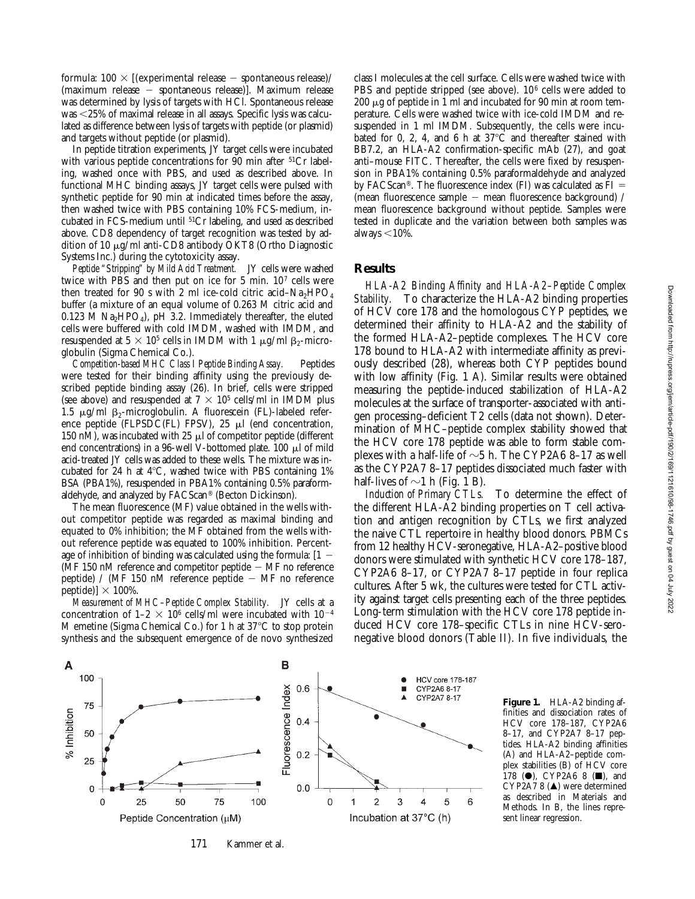formula:  $100 \times$  [(experimental release – spontaneous release)/ (maximum release - spontaneous release)]. Maximum release was determined by lysis of targets with HCl. Spontaneous release was <25% of maximal release in all assays. Specific lysis was calculated as difference between lysis of targets with peptide (or plasmid) and targets without peptide (or plasmid).

In peptide titration experiments, JY target cells were incubated with various peptide concentrations for 90 min after <sup>51</sup>Cr labeling, washed once with PBS, and used as described above. In functional MHC binding assays, JY target cells were pulsed with synthetic peptide for 90 min at indicated times before the assay, then washed twice with PBS containing 10% FCS-medium, incubated in FCS-medium until 51Cr labeling, and used as described above. CD8 dependency of target recognition was tested by addition of 10  $\mu$ g/ml anti-CD8 antibody OKT8 (Ortho Diagnostic Systems Inc.) during the cytotoxicity assay.

*Peptide "Stripping" by Mild Acid Treatment.* JY cells were washed twice with PBS and then put on ice for 5 min. 107 cells were then treated for 90 s with 2 ml ice-cold citric acid–Na<sub>2</sub>HPO<sub>4</sub> buffer (a mixture of an equal volume of 0.263 M citric acid and 0.123 M  $\text{Na}_2\text{HPO}_4$ , pH 3.2. Immediately thereafter, the eluted cells were buffered with cold IMDM, washed with IMDM, and resuspended at  $5 \times 10^5$  cells in IMDM with 1  $\mu$ g/ml  $\beta_2$ -microglobulin (Sigma Chemical Co.).

*Competition-based MHC Class I Peptide Binding Assay.* Peptides were tested for their binding affinity using the previously described peptide binding assay (26). In brief, cells were stripped (see above) and resuspended at  $7 \times 10^5$  cells/ml in IMDM plus 1.5  $\mu$ g/ml  $\beta$ <sub>2</sub>-microglobulin. A fluorescein (FL)-labeled reference peptide (FLPSDC(FL) FPSV),  $25 \mu l$  (end concentration, 150 nM), was incubated with 25  $\mu$ l of competitor peptide (different end concentrations) in a 96-well V-bottomed plate. 100 µl of mild acid-treated JY cells was added to these wells. The mixture was incubated for 24 h at  $4^{\circ}$ C, washed twice with PBS containing 1% BSA (PBA1%), resuspended in PBA1% containing 0.5% paraformaldehyde, and analyzed by FACScan® (Becton Dickinson).

The mean fluorescence (MF) value obtained in the wells without competitor peptide was regarded as maximal binding and equated to 0% inhibition; the MF obtained from the wells without reference peptide was equated to 100% inhibition. Percentage of inhibition of binding was calculated using the formula:  $[1 -$ ( $\overline{MF}$  150 nM reference and competitor peptide  $-$  MF no reference peptide) / (MF 150 nM reference peptide  $-$  MF no reference peptide)]  $\times$  100%.

*Measurement of MHC–Peptide Complex Stability.* JY cells at a concentration of  $1-2 \times 10^6$  cells/ml were incubated with  $10^{-4}$ M emetine (Sigma Chemical Co.) for 1 h at  $37^{\circ}$ C to stop protein synthesis and the subsequent emergence of de novo synthesized

class I molecules at the cell surface. Cells were washed twice with PBS and peptide stripped (see above). 10<sup>6</sup> cells were added to  $200 \mu$ g of peptide in 1 ml and incubated for 90 min at room temperature. Cells were washed twice with ice-cold IMDM and resuspended in 1 ml IMDM. Subsequently, the cells were incubated for 0, 2, 4, and 6 h at  $37^{\circ}$ C and thereafter stained with BB7.2, an HLA-A2 confirmation-specific mAb (27), and goat anti–mouse FITC. Thereafter, the cells were fixed by resuspension in PBA1% containing 0.5% paraformaldehyde and analyzed by FACScan®. The fluorescence index (FI) was calculated as  $FI =$ (mean fluorescence sample  $-$  mean fluorescence background) / mean fluorescence background without peptide. Samples were tested in duplicate and the variation between both samples was always  $<$ 10%.

#### **Results**

*HLA-A2 Binding Affinity and HLA-A2–Peptide Complex Stability.* To characterize the HLA-A2 binding properties of HCV core 178 and the homologous CYP peptides, we determined their affinity to HLA-A2 and the stability of the formed HLA-A2–peptide complexes. The HCV core 178 bound to HLA-A2 with intermediate affinity as previously described (28), whereas both CYP peptides bound with low affinity (Fig. 1 A). Similar results were obtained measuring the peptide-induced stabilization of HLA-A2 molecules at the surface of transporter-associated with antigen processing–deficient T2 cells (data not shown). Determination of MHC–peptide complex stability showed that the HCV core 178 peptide was able to form stable complexes with a half-life of  $\sim$ 5 h. The CYP2A6 8–17 as well as the CYP2A7 8–17 peptides dissociated much faster with half-lives of  $\sim$ 1 h (Fig. 1 B).

*Induction of Primary CTLs.* To determine the effect of the different HLA-A2 binding properties on T cell activation and antigen recognition by CTLs, we first analyzed the naive CTL repertoire in healthy blood donors. PBMCs from 12 healthy HCV-seronegative, HLA-A2–positive blood donors were stimulated with synthetic HCV core 178–187, CYP2A6 8–17, or CYP2A7 8–17 peptide in four replica cultures. After 5 wk, the cultures were tested for CTL activity against target cells presenting each of the three peptides. Long-term stimulation with the HCV core 178 peptide induced HCV core 178–specific CTLs in nine HCV-seronegative blood donors (Table II). In five individuals, the



**Figure 1.** HLA-A2 binding affinities and dissociation rates of HCV core 178–187, CYP2A6 8–17, and CYP2A7 8–17 peptides. HLA-A2 binding affinities (A) and HLA-A2–peptide complex stabilities (B) of HCV core 178 ( $\bullet$ ), CYP2A6 8 ( $\blacksquare$ ), and CYP2A7 8  $(\triangle)$  were determined as described in Materials and Methods. In B, the lines represent linear regression.

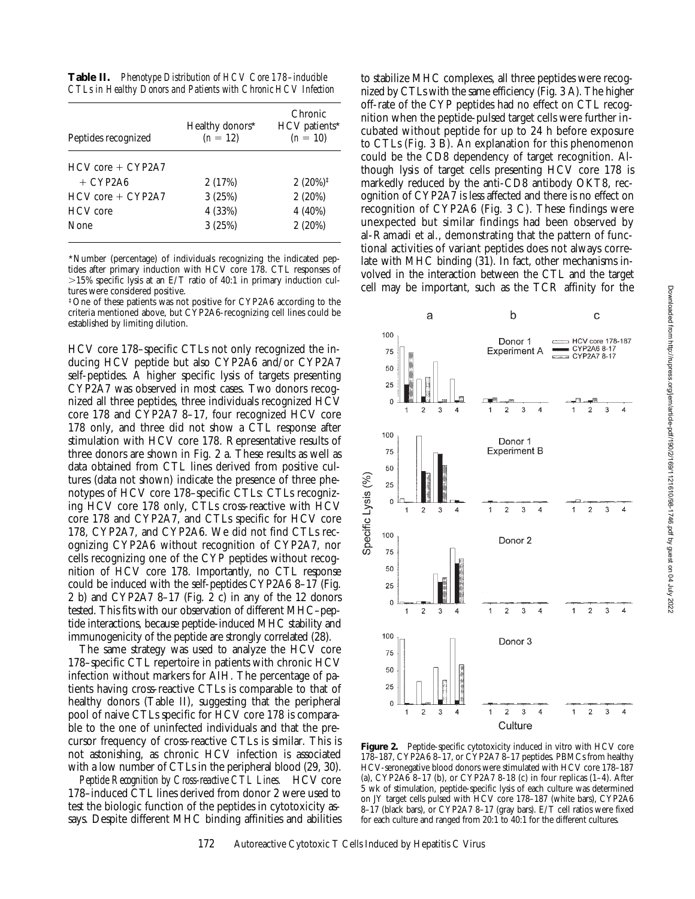**Table II.** *Phenotype Distribution of HCV Core 178–inducible CTLs in Healthy Donors and Patients with Chronic HCV Infection*

| Peptides recognized   | Healthy donors*<br>$(n = 12)$ | Chronic<br>HCV patients*<br>$(n = 10)$ |
|-----------------------|-------------------------------|----------------------------------------|
| $HCV$ core $+ CYP2A7$ |                               |                                        |
| $+$ CYP2A6            | 2(17%)                        | $2(20\%)^{\ddagger}$                   |
| $HCV$ core $+ CYP2A7$ | 3(25%)                        | 2(20%)                                 |
| <b>HCV</b> core       | 4 (33%)                       | 4 (40%)                                |
| <b>None</b>           | 3(25%)                        | 2(20%)                                 |

\*Number (percentage) of individuals recognizing the indicated peptides after primary induction with HCV core 178. CTL responses of  $>15\%$  specific lysis at an E/T ratio of 40:1 in primary induction cultures were considered positive.

‡One of these patients was not positive for CYP2A6 according to the criteria mentioned above, but CYP2A6-recognizing cell lines could be established by limiting dilution.

HCV core 178–specific CTLs not only recognized the inducing HCV peptide but also CYP2A6 and/or CYP2A7 self-peptides. A higher specific lysis of targets presenting CYP2A7 was observed in most cases. Two donors recognized all three peptides, three individuals recognized HCV core 178 and CYP2A7 8–17, four recognized HCV core 178 only, and three did not show a CTL response after stimulation with HCV core 178. Representative results of three donors are shown in Fig. 2 a. These results as well as data obtained from CTL lines derived from positive cultures (data not shown) indicate the presence of three phenotypes of HCV core 178–specific CTLs: CTLs recognizing HCV core 178 only, CTLs cross-reactive with HCV core 178 and CYP2A7, and CTLs specific for HCV core 178, CYP2A7, and CYP2A6. We did not find CTLs recognizing CYP2A6 without recognition of CYP2A7, nor cells recognizing one of the CYP peptides without recognition of HCV core 178. Importantly, no CTL response could be induced with the self-peptides CYP2A6 8–17 (Fig. 2 b) and CYP2A7 8–17 (Fig. 2 c) in any of the 12 donors tested. This fits with our observation of different MHC–peptide interactions, because peptide-induced MHC stability and immunogenicity of the peptide are strongly correlated (28).

The same strategy was used to analyze the HCV core 178–specific CTL repertoire in patients with chronic HCV infection without markers for AIH. The percentage of patients having cross-reactive CTLs is comparable to that of healthy donors (Table II), suggesting that the peripheral pool of naive CTLs specific for HCV core 178 is comparable to the one of uninfected individuals and that the precursor frequency of cross-reactive CTLs is similar. This is not astonishing, as chronic HCV infection is associated with a low number of CTLs in the peripheral blood (29, 30).

*Peptide Recognition by Cross-reactive CTL Lines.* HCV core 178–induced CTL lines derived from donor 2 were used to test the biologic function of the peptides in cytotoxicity assays. Despite different MHC binding affinities and abilities

to stabilize MHC complexes, all three peptides were recognized by CTLs with the same efficiency (Fig. 3 A). The higher off-rate of the CYP peptides had no effect on CTL recognition when the peptide-pulsed target cells were further incubated without peptide for up to 24 h before exposure to CTLs (Fig. 3 B). An explanation for this phenomenon could be the CD8 dependency of target recognition. Although lysis of target cells presenting HCV core 178 is markedly reduced by the anti-CD8 antibody OKT8, recognition of CYP2A7 is less affected and there is no effect on recognition of CYP2A6 (Fig. 3 C). These findings were unexpected but similar findings had been observed by al-Ramadi et al., demonstrating that the pattern of functional activities of variant peptides does not always correlate with MHC binding (31). In fact, other mechanisms involved in the interaction between the CTL and the target cell may be important, such as the TCR affinity for the



Figure 2. Peptide-specific cytotoxicity induced in vitro with HCV core 178–187, CYP2A6 8–17, or CYP2A7 8–17 peptides. PBMCs from healthy HCV-seronegative blood donors were stimulated with HCV core 178–187 (a), CYP2A6 8–17 (b), or CYP2A7 8-18 (c) in four replicas (1–4). After 5 wk of stimulation, peptide-specific lysis of each culture was determined on JY target cells pulsed with HCV core 178–187 (white bars), CYP2A6 8–17 (black bars), or CYP2A7 8–17 (gray bars). E/T cell ratios were fixed for each culture and ranged from 20:1 to 40:1 for the different cultures.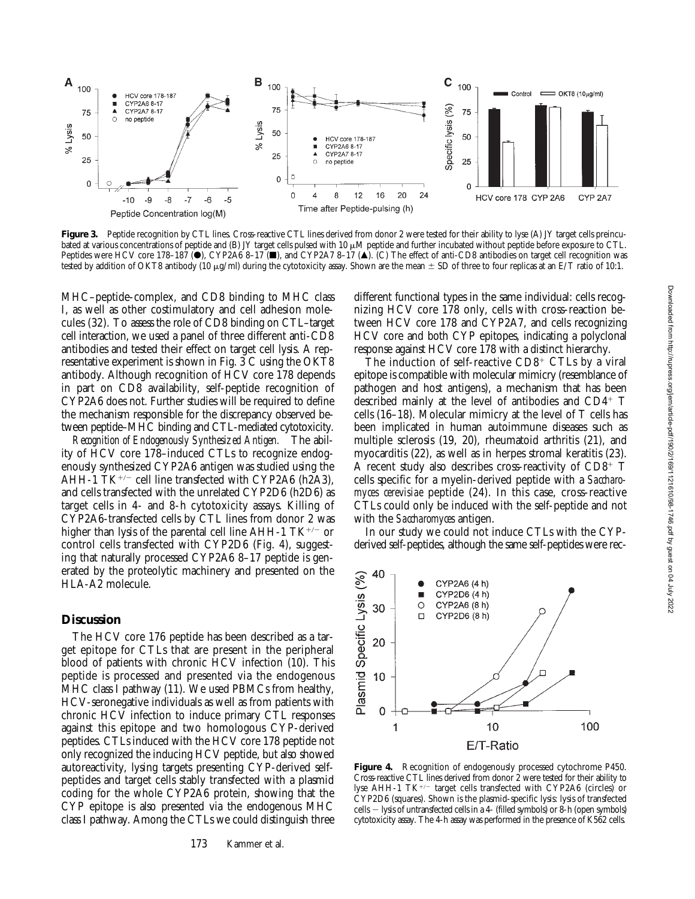

Figure 3. Peptide recognition by CTL lines. Cross-reactive CTL lines derived from donor 2 were tested for their ability to lyse (A) JY target cells preincubated at various concentrations of peptide and (B) JY target cells pulsed with 10  $\mu$ M peptide and further incubated without peptide before exposure to CTL. Peptides were HCV core 178-187 ( $\bullet$ ), CYP2A6 8-17 ( $\bullet$ ), and CYP2A7 8-17 ( $\bullet$ ). (C) The effect of anti-CD8 antibodies on target cell recognition was tested by addition of OKT8 antibody (10  $\mu$ g/ml) during the cytotoxicity assay. Shown are the mean  $\pm$  SD of three to four replicas at an E/T ratio of 10:1.

MHC–peptide-complex, and CD8 binding to MHC class I, as well as other costimulatory and cell adhesion molecules (32). To assess the role of CD8 binding on CTL–target cell interaction, we used a panel of three different anti-CD8 antibodies and tested their effect on target cell lysis. A representative experiment is shown in Fig. 3 C using the OKT8 antibody. Although recognition of HCV core 178 depends in part on CD8 availability, self-peptide recognition of CYP2A6 does not. Further studies will be required to define the mechanism responsible for the discrepancy observed between peptide–MHC binding and CTL-mediated cytotoxicity.

*Recognition of Endogenously Synthesized Antigen.* The ability of HCV core 178–induced CTLs to recognize endogenously synthesized CYP2A6 antigen was studied using the AHH-1  $TK^{+/-}$  cell line transfected with CYP2A6 (h2A3), and cells transfected with the unrelated CYP2D6 (h2D6) as target cells in 4- and 8-h cytotoxicity assays. Killing of CYP2A6-transfected cells by CTL lines from donor 2 was higher than lysis of the parental cell line AHH-1  $TK^{+/-}$  or control cells transfected with CYP2D6 (Fig. 4), suggesting that naturally processed CYP2A6 8–17 peptide is generated by the proteolytic machinery and presented on the HLA-A2 molecule.

# **Discussion**

The HCV core 176 peptide has been described as a target epitope for CTLs that are present in the peripheral blood of patients with chronic HCV infection (10). This peptide is processed and presented via the endogenous MHC class I pathway (11). We used PBMCs from healthy, HCV-seronegative individuals as well as from patients with chronic HCV infection to induce primary CTL responses against this epitope and two homologous CYP-derived peptides. CTLs induced with the HCV core 178 peptide not only recognized the inducing HCV peptide, but also showed autoreactivity, lysing targets presenting CYP-derived selfpeptides and target cells stably transfected with a plasmid coding for the whole CYP2A6 protein, showing that the CYP epitope is also presented via the endogenous MHC class I pathway. Among the CTLs we could distinguish three

different functional types in the same individual: cells recognizing HCV core 178 only, cells with cross-reaction between HCV core 178 and CYP2A7, and cells recognizing HCV core and both CYP epitopes, indicating a polyclonal response against HCV core 178 with a distinct hierarchy.

The induction of self-reactive  $CD8<sup>+</sup> CTLs$  by a viral epitope is compatible with molecular mimicry (resemblance of pathogen and host antigens), a mechanism that has been described mainly at the level of antibodies and  $CD4^+$  T cells (16–18). Molecular mimicry at the level of T cells has been implicated in human autoimmune diseases such as multiple sclerosis (19, 20), rheumatoid arthritis (21), and myocarditis (22), as well as in herpes stromal keratitis (23). A recent study also describes cross-reactivity of  $CD8<sup>+</sup>$  T cells specific for a myelin-derived peptide with a *Saccharomyces cerevisiae* peptide (24). In this case, cross-reactive CTLs could only be induced with the self-peptide and not with the *Saccharomyces* antigen.

In our study we could not induce CTLs with the CYPderived self-peptides, although the same self-peptides were rec-



**Figure 4.** Recognition of endogenously processed cytochrome P450. Cross-reactive CTL lines derived from donor 2 were tested for their ability to lyse AHH-1  $TK^{+/-}$  target cells transfected with CYP2A6 (circles) or CYP2D6 (squares). Shown is the plasmid-specific lysis: lysis of transfected cells  $-$  lysis of untransfected cells in a 4- (filled symbols) or 8-h (open symbols) cytotoxicity assay. The 4-h assay was performed in the presence of K562 cells.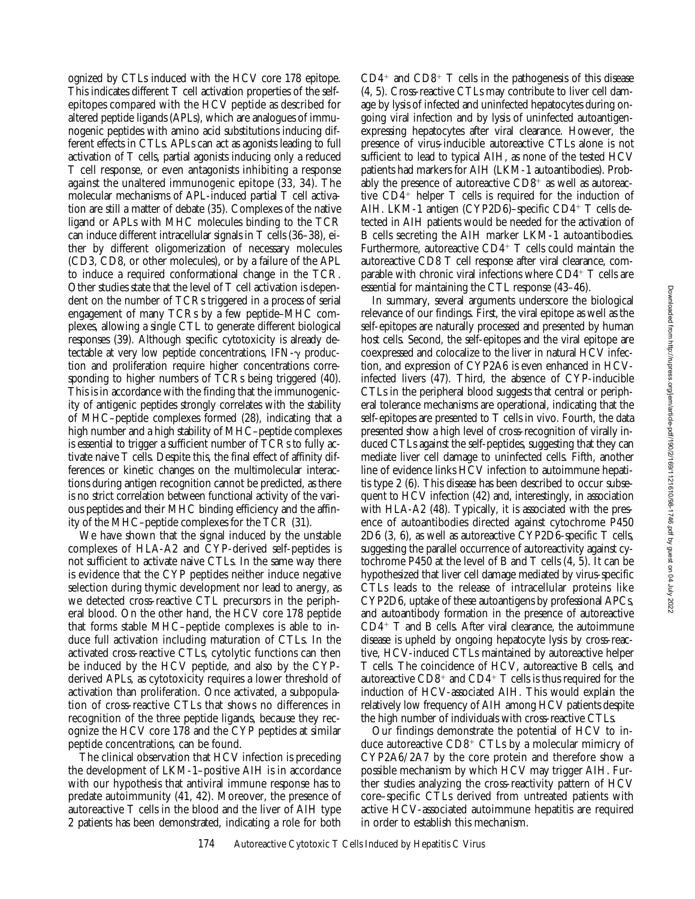ognized by CTLs induced with the HCV core 178 epitope. This indicates different T cell activation properties of the selfepitopes compared with the HCV peptide as described for altered peptide ligands (APLs), which are analogues of immunogenic peptides with amino acid substitutions inducing different effects in CTLs. APLs can act as agonists leading to full activation of T cells, partial agonists inducing only a reduced T cell response, or even antagonists inhibiting a response against the unaltered immunogenic epitope (33, 34). The molecular mechanisms of APL-induced partial T cell activation are still a matter of debate (35). Complexes of the native ligand or APLs with MHC molecules binding to the TCR can induce different intracellular signals in T cells (36–38), either by different oligomerization of necessary molecules (CD3, CD8, or other molecules), or by a failure of the APL to induce a required conformational change in the TCR. Other studies state that the level of T cell activation is dependent on the number of TCRs triggered in a process of serial engagement of many TCRs by a few peptide–MHC complexes, allowing a single CTL to generate different biological responses (39). Although specific cytotoxicity is already detectable at very low peptide concentrations,  $IFN-\gamma$  production and proliferation require higher concentrations corresponding to higher numbers of TCRs being triggered (40). This is in accordance with the finding that the immunogenicity of antigenic peptides strongly correlates with the stability of MHC–peptide complexes formed (28), indicating that a high number and a high stability of MHC–peptide complexes is essential to trigger a sufficient number of TCRs to fully activate naive T cells. Despite this, the final effect of affinity differences or kinetic changes on the multimolecular interactions during antigen recognition cannot be predicted, as there is no strict correlation between functional activity of the various peptides and their MHC binding efficiency and the affinity of the MHC–peptide complexes for the TCR (31).

We have shown that the signal induced by the unstable complexes of HLA-A2 and CYP-derived self-peptides is not sufficient to activate naive CTLs. In the same way there is evidence that the CYP peptides neither induce negative selection during thymic development nor lead to anergy, as we detected cross-reactive CTL precursors in the peripheral blood. On the other hand, the HCV core 178 peptide that forms stable MHC–peptide complexes is able to induce full activation including maturation of CTLs. In the activated cross-reactive CTLs, cytolytic functions can then be induced by the HCV peptide, and also by the CYPderived APLs, as cytotoxicity requires a lower threshold of activation than proliferation. Once activated, a subpopulation of cross-reactive CTLs that shows no differences in recognition of the three peptide ligands, because they recognize the HCV core 178 and the CYP peptides at similar peptide concentrations, can be found.

The clinical observation that HCV infection is preceding the development of LKM-1–positive AIH is in accordance with our hypothesis that antiviral immune response has to predate autoimmunity (41, 42). Moreover, the presence of autoreactive T cells in the blood and the liver of AIH type 2 patients has been demonstrated, indicating a role for both  $CD4<sup>+</sup>$  and  $CD8<sup>+</sup>$  T cells in the pathogenesis of this disease (4, 5). Cross-reactive CTLs may contribute to liver cell damage by lysis of infected and uninfected hepatocytes during ongoing viral infection and by lysis of uninfected autoantigenexpressing hepatocytes after viral clearance. However, the presence of virus-inducible autoreactive CTLs alone is not sufficient to lead to typical AIH, as none of the tested HCV patients had markers for AIH (LKM-1 autoantibodies). Probably the presence of autoreactive  $CD8^+$  as well as autoreactive  $CD4^+$  helper T cells is required for the induction of AIH. LKM-1 antigen (CYP2D6)–specific  $CD4^+$  T cells detected in AIH patients would be needed for the activation of B cells secreting the AIH marker LKM-1 autoantibodies. Furthermore, autoreactive  $CD4^+$  T cells could maintain the autoreactive CD8 T cell response after viral clearance, comparable with chronic viral infections where  $CD4^+$  T cells are essential for maintaining the CTL response (43–46).

In summary, several arguments underscore the biological relevance of our findings. First, the viral epitope as well as the self-epitopes are naturally processed and presented by human host cells. Second, the self-epitopes and the viral epitope are coexpressed and colocalize to the liver in natural HCV infection, and expression of CYP2A6 is even enhanced in HCVinfected livers (47). Third, the absence of CYP-inducible CTLs in the peripheral blood suggests that central or peripheral tolerance mechanisms are operational, indicating that the self-epitopes are presented to T cells in vivo. Fourth, the data presented show a high level of cross-recognition of virally induced CTLs against the self-peptides, suggesting that they can mediate liver cell damage to uninfected cells. Fifth, another line of evidence links HCV infection to autoimmune hepatitis type 2 (6). This disease has been described to occur subsequent to HCV infection (42) and, interestingly, in association with HLA-A2 (48). Typically, it is associated with the presence of autoantibodies directed against cytochrome P450 2D6 (3, 6), as well as autoreactive CYP2D6-specific T cells, suggesting the parallel occurrence of autoreactivity against cytochrome P450 at the level of B and T cells (4, 5). It can be hypothesized that liver cell damage mediated by virus-specific CTLs leads to the release of intracellular proteins like CYP2D6, uptake of these autoantigens by professional APCs, and autoantibody formation in the presence of autoreactive  $CD4+T$  and B cells. After viral clearance, the autoimmune disease is upheld by ongoing hepatocyte lysis by cross-reactive, HCV-induced CTLs maintained by autoreactive helper T cells. The coincidence of HCV, autoreactive B cells, and autoreactive  $CD8<sup>+</sup>$  and  $CD4<sup>+</sup>$  T cells is thus required for the induction of HCV-associated AIH. This would explain the relatively low frequency of AIH among HCV patients despite the high number of individuals with cross-reactive CTLs.

Our findings demonstrate the potential of HCV to induce autoreactive  $CD8<sup>+</sup> CTLs$  by a molecular mimicry of CYP2A6/2A7 by the core protein and therefore show a possible mechanism by which HCV may trigger AIH. Further studies analyzing the cross-reactivity pattern of HCV core–specific CTLs derived from untreated patients with active HCV-associated autoimmune hepatitis are required in order to establish this mechanism.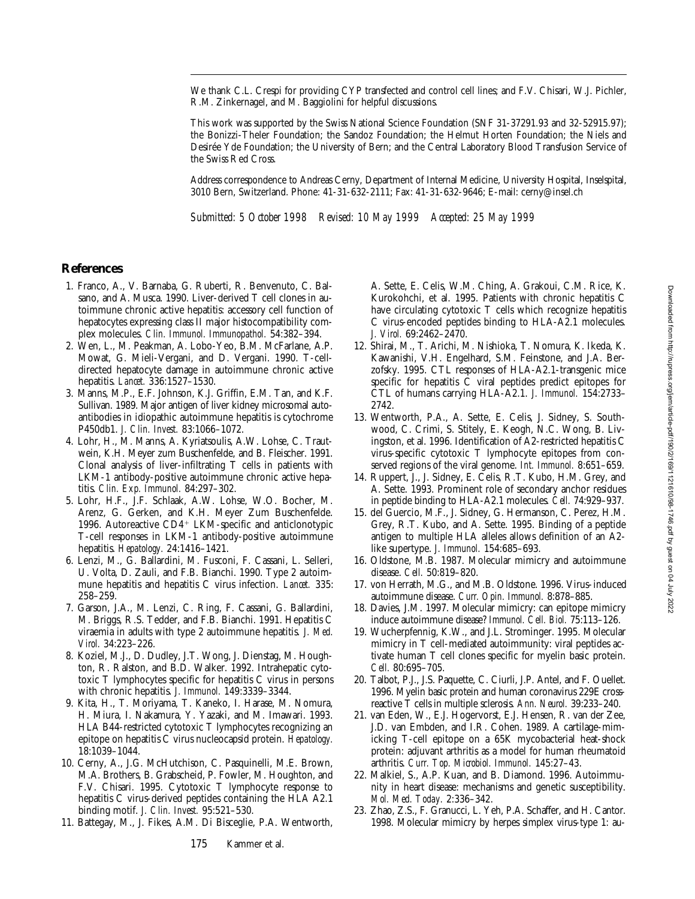We thank C.L. Crespi for providing CYP transfected and control cell lines; and F.V. Chisari, W.J. Pichler, R.M. Zinkernagel, and M. Baggiolini for helpful discussions.

This work was supported by the Swiss National Science Foundation (SNF 31-37291.93 and 32-52915.97); the Bonizzi-Theler Foundation; the Sandoz Foundation; the Helmut Horten Foundation; the Niels and Desirée Yde Foundation; the University of Bern; and the Central Laboratory Blood Transfusion Service of the Swiss Red Cross.

Address correspondence to Andreas Cerny, Department of Internal Medicine, University Hospital, Inselspital, 3010 Bern, Switzerland. Phone: 41-31-632-2111; Fax: 41-31-632-9646; E-mail: cerny@insel.ch

*Submitted: 5 October 1998 Revised: 10 May 1999 Accepted: 25 May 1999*

#### **References**

- 1. Franco, A., V. Barnaba, G. Ruberti, R. Benvenuto, C. Balsano, and A. Musca. 1990. Liver-derived T cell clones in autoimmune chronic active hepatitis: accessory cell function of hepatocytes expressing class II major histocompatibility complex molecules. *Clin. Immunol. Immunopathol.* 54:382–394.
- 2. Wen, L., M. Peakman, A. Lobo-Yeo, B.M. McFarlane, A.P. Mowat, G. Mieli-Vergani, and D. Vergani. 1990. T-celldirected hepatocyte damage in autoimmune chronic active hepatitis. *Lancet.* 336:1527–1530.
- 3. Manns, M.P., E.F. Johnson, K.J. Griffin, E.M. Tan, and K.F. Sullivan. 1989. Major antigen of liver kidney microsomal autoantibodies in idiopathic autoimmune hepatitis is cytochrome P450db1. *J. Clin. Invest.* 83:1066–1072.
- 4. Lohr, H., M. Manns, A. Kyriatsoulis, A.W. Lohse, C. Trautwein, K.H. Meyer zum Buschenfelde, and B. Fleischer. 1991. Clonal analysis of liver-infiltrating T cells in patients with LKM-1 antibody-positive autoimmune chronic active hepatitis. *Clin. Exp. Immunol.* 84:297–302.
- 5. Lohr, H.F., J.F. Schlaak, A.W. Lohse, W.O. Bocher, M. Arenz, G. Gerken, and K.H. Meyer Zum Buschenfelde. 1996. Autoreactive CD4+ LKM-specific and anticlonotypic T-cell responses in LKM-1 antibody-positive autoimmune hepatitis. *Hepatology.* 24:1416–1421.
- 6. Lenzi, M., G. Ballardini, M. Fusconi, F. Cassani, L. Selleri, U. Volta, D. Zauli, and F.B. Bianchi. 1990. Type 2 autoimmune hepatitis and hepatitis C virus infection. *Lancet.* 335: 258–259.
- 7. Garson, J.A., M. Lenzi, C. Ring, F. Cassani, G. Ballardini, M. Briggs, R.S. Tedder, and F.B. Bianchi. 1991. Hepatitis C viraemia in adults with type 2 autoimmune hepatitis. *J. Med. Virol.* 34:223–226.
- 8. Koziel, M.J., D. Dudley, J.T. Wong, J. Dienstag, M. Houghton, R. Ralston, and B.D. Walker. 1992. Intrahepatic cytotoxic T lymphocytes specific for hepatitis C virus in persons with chronic hepatitis. *J. Immunol.* 149:3339–3344.
- 9. Kita, H., T. Moriyama, T. Kaneko, I. Harase, M. Nomura, H. Miura, I. Nakamura, Y. Yazaki, and M. Imawari. 1993. HLA B44-restricted cytotoxic T lymphocytes recognizing an epitope on hepatitis C virus nucleocapsid protein. *Hepatology.* 18:1039–1044.
- 10. Cerny, A., J.G. McHutchison, C. Pasquinelli, M.E. Brown, M.A. Brothers, B. Grabscheid, P. Fowler, M. Houghton, and F.V. Chisari. 1995. Cytotoxic T lymphocyte response to hepatitis C virus-derived peptides containing the HLA A2.1 binding motif. *J. Clin. Invest.* 95:521–530.
- 11. Battegay, M., J. Fikes, A.M. Di Bisceglie, P.A. Wentworth,

A. Sette, E. Celis, W.M. Ching, A. Grakoui, C.M. Rice, K. Kurokohchi, et al. 1995. Patients with chronic hepatitis C have circulating cytotoxic T cells which recognize hepatitis C virus-encoded peptides binding to HLA-A2.1 molecules. *J. Virol.* 69:2462–2470.

- 12. Shirai, M., T. Arichi, M. Nishioka, T. Nomura, K. Ikeda, K. Kawanishi, V.H. Engelhard, S.M. Feinstone, and J.A. Berzofsky. 1995. CTL responses of HLA-A2.1-transgenic mice specific for hepatitis C viral peptides predict epitopes for CTL of humans carrying HLA-A2.1. *J. Immunol.* 154:2733– 2742.
- 13. Wentworth, P.A., A. Sette, E. Celis, J. Sidney, S. Southwood, C. Crimi, S. Stitely, E. Keogh, N.C. Wong, B. Livingston, et al. 1996. Identification of A2-restricted hepatitis C virus-specific cytotoxic T lymphocyte epitopes from conserved regions of the viral genome. *Int. Immunol.* 8:651–659.
- 14. Ruppert, J., J. Sidney, E. Celis, R.T. Kubo, H.M. Grey, and A. Sette. 1993. Prominent role of secondary anchor residues in peptide binding to HLA-A2.1 molecules. *Cell.* 74:929–937.
- 15. del Guercio, M.F., J. Sidney, G. Hermanson, C. Perez, H.M. Grey, R.T. Kubo, and A. Sette. 1995. Binding of a peptide antigen to multiple HLA alleles allows definition of an A2 like supertype. *J. Immunol.* 154:685–693.
- 16. Oldstone, M.B. 1987. Molecular mimicry and autoimmune disease. *Cell.* 50:819–820.
- 17. von Herrath, M.G., and M.B. Oldstone. 1996. Virus-induced autoimmune disease. *Curr. Opin. Immunol.* 8:878–885.
- 18. Davies, J.M. 1997. Molecular mimicry: can epitope mimicry induce autoimmune disease? *Immunol. Cell. Biol.* 75:113–126.
- 19. Wucherpfennig, K.W., and J.L. Strominger. 1995. Molecular mimicry in T cell-mediated autoimmunity: viral peptides activate human T cell clones specific for myelin basic protein. *Cell.* 80:695–705.
- 20. Talbot, P.J., J.S. Paquette, C. Ciurli, J.P. Antel, and F. Ouellet. 1996. Myelin basic protein and human coronavirus 229E crossreactive T cells in multiple sclerosis. *Ann. Neurol.* 39:233–240.
- 21. van Eden, W., E.J. Hogervorst, E.J. Hensen, R. van der Zee, J.D. van Embden, and I.R. Cohen. 1989. A cartilage-mimicking T-cell epitope on a 65K mycobacterial heat-shock protein: adjuvant arthritis as a model for human rheumatoid arthritis. *Curr. Top. Microbiol. Immunol.* 145:27–43.
- 22. Malkiel, S., A.P. Kuan, and B. Diamond. 1996. Autoimmunity in heart disease: mechanisms and genetic susceptibility. *Mol. Med. Today.* 2:336–342.
- 23. Zhao, Z.S., F. Granucci, L. Yeh, P.A. Schaffer, and H. Cantor. 1998. Molecular mimicry by herpes simplex virus-type 1: au-